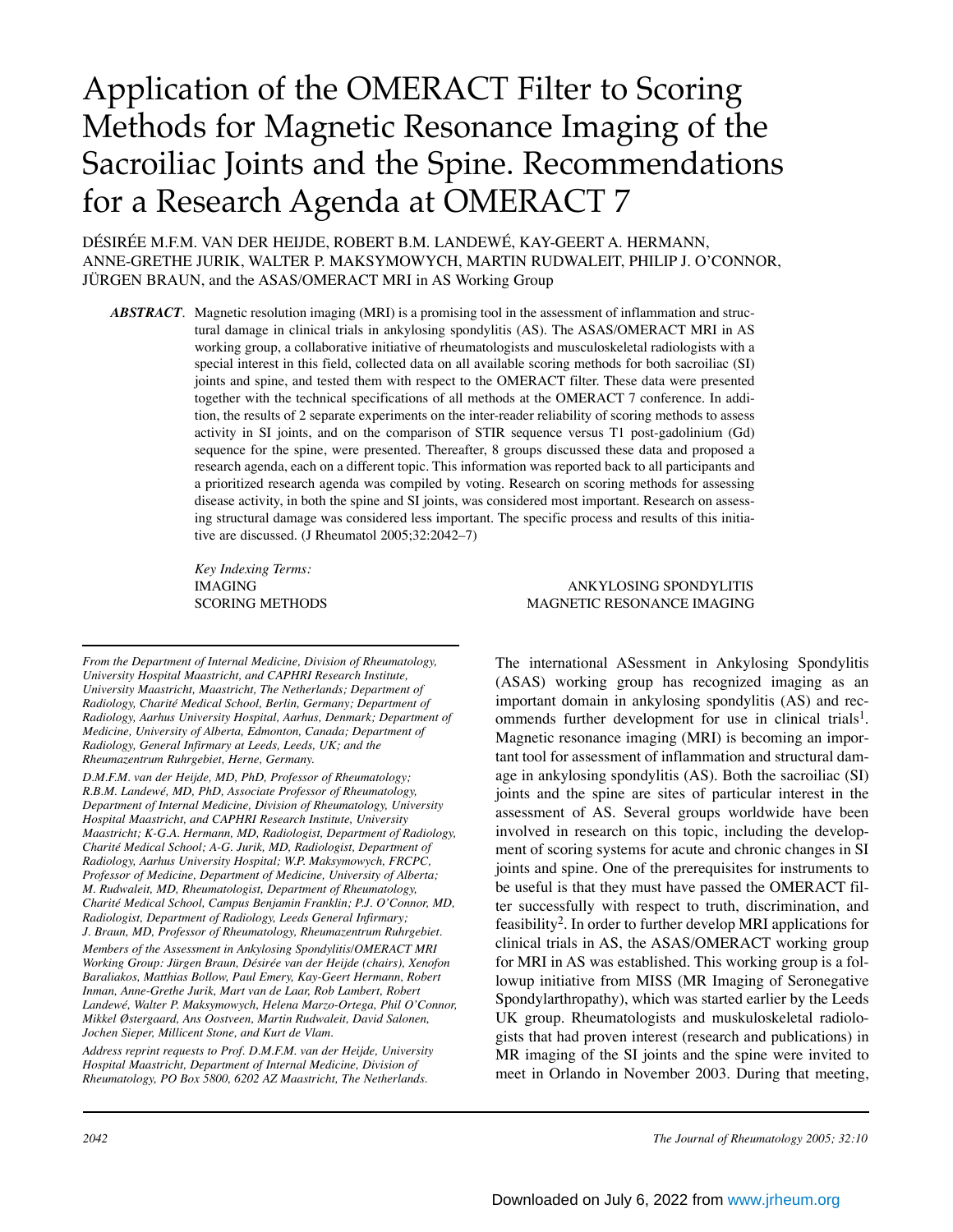# Application of the OMERACT Filter to Scoring Methods for Magnetic Resonance Imaging of the Sacroiliac Joints and the Spine. Recommendations for a Research Agenda at OMERACT 7

DÉSIRÉE M.F.M. VAN DER HEIJDE, ROBERT B.M. LANDEWÉ, KAY-GEERT A. HERMANN, ANNE-GRETHE JURIK, WALTER P. MAKSYMOWYCH, MARTIN RUDWALEIT, PHILIP J. O'CONNOR, JÜRGEN BRAUN, and the ASAS/OMERACT MRI in AS Working Group

*ABSTRACT*. Magnetic resolution imaging (MRI) is a promising tool in the assessment of inflammation and structural damage in clinical trials in ankylosing spondylitis (AS). The ASAS/OMERACT MRI in AS working group, a collaborative initiative of rheumatologists and musculoskeletal radiologists with a special interest in this field, collected data on all available scoring methods for both sacroiliac (SI) joints and spine, and tested them with respect to the OMERACT filter. These data were presented together with the technical specifications of all methods at the OMERACT 7 conference. In addition, the results of 2 separate experiments on the inter-reader reliability of scoring methods to assess activity in SI joints, and on the comparison of STIR sequence versus T1 post-gadolinium (Gd) sequence for the spine, were presented. Thereafter, 8 groups discussed these data and proposed a research agenda, each on a different topic. This information was reported back to all participants and a prioritized research agenda was compiled by voting. Research on scoring methods for assessing disease activity, in both the spine and SI joints, was considered most important. Research on assessing structural damage was considered less important. The specific process and results of this initiative are discussed. (J Rheumatol 2005;32:2042–7)

*Key Indexing Terms:* 

#### IMAGING ANKYLOSING SPONDYLITIS SCORING METHODS MAGNETIC RESONANCE IMAGING

*From the Department of Internal Medicine, Division of Rheumatology, University Hospital Maastricht, and CAPHRI Research Institute, University Maastricht, Maastricht, The Netherlands; Department of Radiology, Charité Medical School, Berlin, Germany; Department of Radiology, Aarhus University Hospital, Aarhus, Denmark; Department of Medicine, University of Alberta, Edmonton, Canada; Department of Radiology, General Infirmary at Leeds, Leeds, UK; and the Rheumazentrum Ruhrgebiet, Herne, Germany.*

*D.M.F.M. van der Heijde, MD, PhD, Professor of Rheumatology; R.B.M. Landewé, MD, PhD, Associate Professor of Rheumatology, Department of Internal Medicine, Division of Rheumatology, University Hospital Maastricht, and CAPHRI Research Institute, University Maastricht; K-G.A. Hermann, MD, Radiologist, Department of Radiology, Charité Medical School; A-G. Jurik, MD, Radiologist, Department of Radiology, Aarhus University Hospital; W.P. Maksymowych, FRCPC, Professor of Medicine, Department of Medicine, University of Alberta; M. Rudwaleit, MD, Rheumatologist, Department of Rheumatology, Charité Medical School, Campus Benjamin Franklin; P.J. O'Connor, MD, Radiologist, Department of Radiology, Leeds General Infirmary; J. Braun, MD, Professor of Rheumatology, Rheumazentrum Ruhrgebiet.*

*Members of the Assessment in Ankylosing Spondylitis/OMERACT MRI Working Group: Jürgen Braun, Désirée van der Heijde (chairs), Xenofon Baraliakos, Matthias Bollow, Paul Emery, Kay-Geert Hermann, Robert Inman, Anne-Grethe Jurik, Mart van de Laar, Rob Lambert, Robert Landewé, Walter P. Maksymowych, Helena Marzo-Ortega, Phil O'Connor, Mikkel Østergaard, Ans Oostveen, Martin Rudwaleit, David Salonen, Jochen Sieper, Millicent Stone, and Kurt de Vlam.*

*Address reprint requests to Prof. D.M.F.M. van der Heijde, University Hospital Maastricht, Department of Internal Medicine, Division of Rheumatology, PO Box 5800, 6202 AZ Maastricht, The Netherlands.*

The international ASessment in Ankylosing Spondylitis (ASAS) working group has recognized imaging as an important domain in ankylosing spondylitis (AS) and recommends further development for use in clinical trials<sup>1</sup>. Magnetic resonance imaging (MRI) is becoming an important tool for assessment of inflammation and structural damage in ankylosing spondylitis (AS). Both the sacroiliac (SI) joints and the spine are sites of particular interest in the assessment of AS. Several groups worldwide have been involved in research on this topic, including the development of scoring systems for acute and chronic changes in SI joints and spine. One of the prerequisites for instruments to be useful is that they must have passed the OMERACT filter successfully with respect to truth, discrimination, and feasibility2. In order to further develop MRI applications for clinical trials in AS, the ASAS/OMERACT working group for MRI in AS was established. This working group is a followup initiative from MISS (MR Imaging of Seronegative Spondylarthropathy), which was started earlier by the Leeds UK group. Rheumatologists and muskuloskeletal radiologists that had proven interest (research and publications) in MR imaging of the SI joints and the spine were invited to meet in Orlando in November 2003. During that meeting,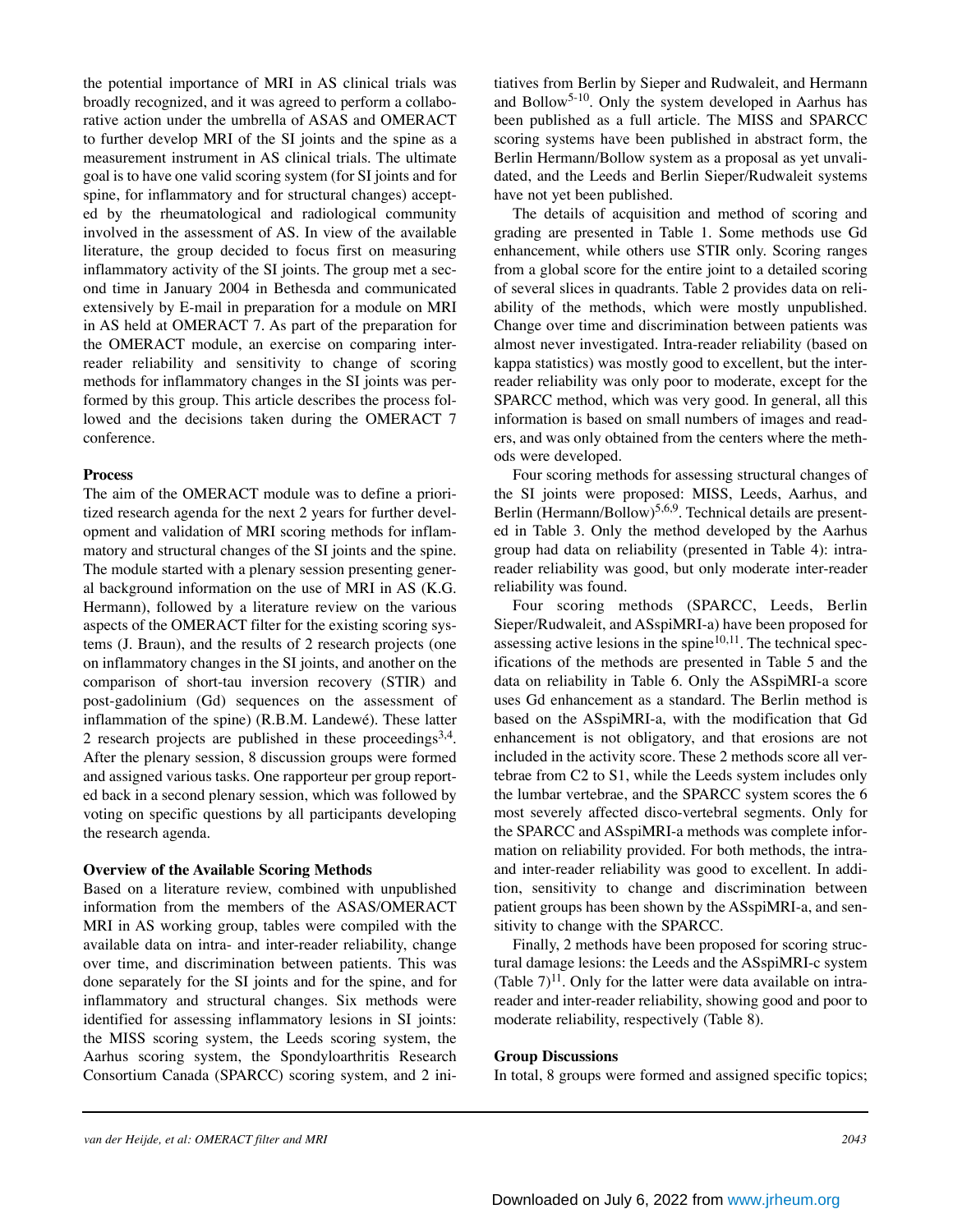the potential importance of MRI in AS clinical trials was broadly recognized, and it was agreed to perform a collaborative action under the umbrella of ASAS and OMERACT to further develop MRI of the SI joints and the spine as a measurement instrument in AS clinical trials. The ultimate goal is to have one valid scoring system (for SI joints and for spine, for inflammatory and for structural changes) accepted by the rheumatological and radiological community involved in the assessment of AS. In view of the available literature, the group decided to focus first on measuring inflammatory activity of the SI joints. The group met a second time in January 2004 in Bethesda and communicated extensively by E-mail in preparation for a module on MRI in AS held at OMERACT 7. As part of the preparation for the OMERACT module, an exercise on comparing interreader reliability and sensitivity to change of scoring methods for inflammatory changes in the SI joints was performed by this group. This article describes the process followed and the decisions taken during the OMERACT 7 conference.

#### **Process**

The aim of the OMERACT module was to define a prioritized research agenda for the next 2 years for further development and validation of MRI scoring methods for inflammatory and structural changes of the SI joints and the spine. The module started with a plenary session presenting general background information on the use of MRI in AS (K.G. Hermann), followed by a literature review on the various aspects of the OMERACT filter for the existing scoring systems (J. Braun), and the results of 2 research projects (one on inflammatory changes in the SI joints, and another on the comparison of short-tau inversion recovery (STIR) and post-gadolinium (Gd) sequences on the assessment of inflammation of the spine) (R.B.M. Landewé). These latter 2 research projects are published in these proceedings<sup>3,4</sup>. After the plenary session, 8 discussion groups were formed and assigned various tasks. One rapporteur per group reported back in a second plenary session, which was followed by voting on specific questions by all participants developing the research agenda.

#### **Overview of the Available Scoring Methods**

Based on a literature review, combined with unpublished information from the members of the ASAS/OMERACT MRI in AS working group, tables were compiled with the available data on intra- and inter-reader reliability, change over time, and discrimination between patients. This was done separately for the SI joints and for the spine, and for inflammatory and structural changes. Six methods were identified for assessing inflammatory lesions in SI joints: the MISS scoring system, the Leeds scoring system, the Aarhus scoring system, the Spondyloarthritis Research Consortium Canada (SPARCC) scoring system, and 2 ini-

tiatives from Berlin by Sieper and Rudwaleit, and Hermann and Bollow5-10. Only the system developed in Aarhus has been published as a full article. The MISS and SPARCC scoring systems have been published in abstract form, the Berlin Hermann/Bollow system as a proposal as yet unvalidated, and the Leeds and Berlin Sieper/Rudwaleit systems have not yet been published.

The details of acquisition and method of scoring and grading are presented in Table 1. Some methods use Gd enhancement, while others use STIR only. Scoring ranges from a global score for the entire joint to a detailed scoring of several slices in quadrants. Table 2 provides data on reliability of the methods, which were mostly unpublished. Change over time and discrimination between patients was almost never investigated. Intra-reader reliability (based on kappa statistics) was mostly good to excellent, but the interreader reliability was only poor to moderate, except for the SPARCC method, which was very good. In general, all this information is based on small numbers of images and readers, and was only obtained from the centers where the methods were developed.

Four scoring methods for assessing structural changes of the SI joints were proposed: MISS, Leeds, Aarhus, and Berlin (Hermann/Bollow)<sup>5,6,9</sup>. Technical details are presented in Table 3. Only the method developed by the Aarhus group had data on reliability (presented in Table 4): intrareader reliability was good, but only moderate inter-reader reliability was found.

Four scoring methods (SPARCC, Leeds, Berlin Sieper/Rudwaleit, and ASspiMRI-a) have been proposed for assessing active lesions in the spine $10,11$ . The technical specifications of the methods are presented in Table 5 and the data on reliability in Table 6. Only the ASspiMRI-a score uses Gd enhancement as a standard. The Berlin method is based on the ASspiMRI-a, with the modification that Gd enhancement is not obligatory, and that erosions are not included in the activity score. These 2 methods score all vertebrae from C2 to S1, while the Leeds system includes only the lumbar vertebrae, and the SPARCC system scores the 6 most severely affected disco-vertebral segments. Only for the SPARCC and ASspiMRI-a methods was complete information on reliability provided. For both methods, the intraand inter-reader reliability was good to excellent. In addition, sensitivity to change and discrimination between patient groups has been shown by the ASspiMRI-a, and sensitivity to change with the SPARCC.

Finally, 2 methods have been proposed for scoring structural damage lesions: the Leeds and the ASspiMRI-c system (Table  $7$ )<sup>11</sup>. Only for the latter were data available on intrareader and inter-reader reliability, showing good and poor to moderate reliability, respectively (Table 8).

#### **Group Discussions**

In total, 8 groups were formed and assigned specific topics;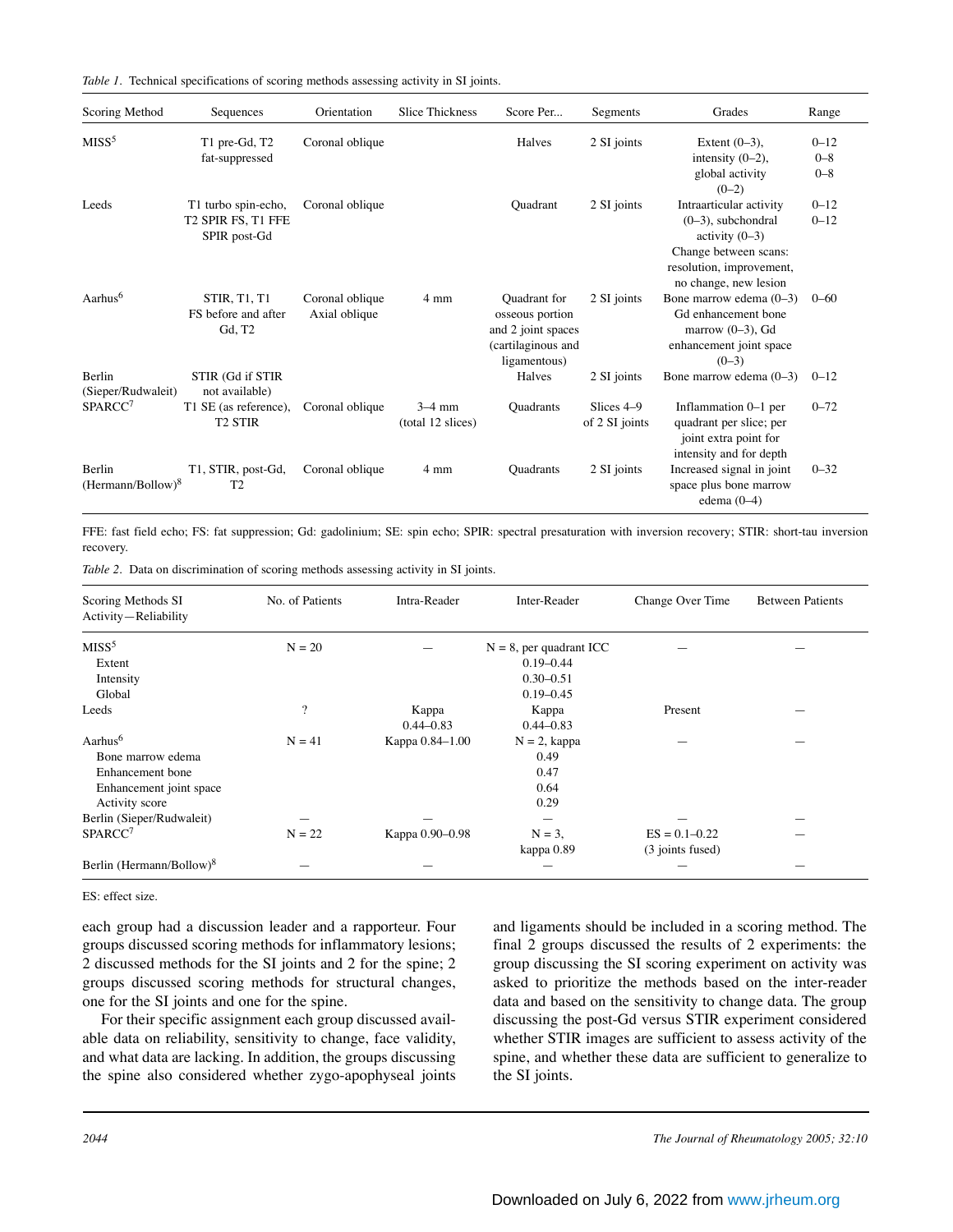|  |  | Table 1. Technical specifications of scoring methods assessing activity in SI joints. |  |  |  |  |  |  |
|--|--|---------------------------------------------------------------------------------------|--|--|--|--|--|--|
|--|--|---------------------------------------------------------------------------------------|--|--|--|--|--|--|

| Scoring Method                | Sequences                                                 | Orientation                      | <b>Slice Thickness</b>        | Score Per                                                                                   | Segments                     | Grades                                                                                                                                             | Range                          |
|-------------------------------|-----------------------------------------------------------|----------------------------------|-------------------------------|---------------------------------------------------------------------------------------------|------------------------------|----------------------------------------------------------------------------------------------------------------------------------------------------|--------------------------------|
| MISS <sup>5</sup>             | T1 pre-Gd, T2<br>fat-suppressed                           | Coronal oblique                  |                               | Halves                                                                                      | 2 SI joints                  | Extent $(0-3)$ ,<br>intensity $(0-2)$ ,<br>global activity<br>$(0-2)$                                                                              | $0 - 12$<br>$0 - 8$<br>$0 - 8$ |
| Leeds                         | T1 turbo spin-echo,<br>T2 SPIR FS, T1 FFE<br>SPIR post-Gd | Coronal oblique                  |                               | <b>Quadrant</b>                                                                             | 2 SI joints                  | Intraarticular activity<br>$(0-3)$ , subchondral<br>activity $(0-3)$<br>Change between scans:<br>resolution, improvement,<br>no change, new lesion | $0 - 12$<br>$0 - 12$           |
| Aarhus <sup>6</sup>           | <b>STIR, T1, T1</b><br>FS before and after<br>Gd, T2      | Coronal oblique<br>Axial oblique | $4 \text{ mm}$                | Quadrant for<br>osseous portion<br>and 2 joint spaces<br>(cartilaginous and<br>ligamentous) | 2 SI joints                  | Bone marrow edema (0-3)<br>Gd enhancement bone<br>marrow $(0-3)$ , Gd<br>enhancement joint space<br>$(0-3)$                                        | $0 - 60$                       |
| Berlin<br>(Sieper/Rudwaleit)  | STIR (Gd if STIR<br>not available)                        |                                  |                               | Halves                                                                                      | 2 SI joints                  | Bone marrow edema $(0-3)$                                                                                                                          | $0 - 12$                       |
| SPARCC <sup>7</sup>           | T1 SE (as reference),<br><b>T2 STIR</b>                   | Coronal oblique                  | $3-4$ mm<br>(total 12 slices) | Quadrants                                                                                   | Slices 4-9<br>of 2 SI joints | Inflammation 0-1 per<br>quadrant per slice; per<br>joint extra point for<br>intensity and for depth                                                | $0 - 72$                       |
| Berlin<br>$(Herman/Bollow)^8$ | T1, STIR, post-Gd,<br>T <sub>2</sub>                      | Coronal oblique                  | $4 \text{ mm}$                | <b>Quadrants</b>                                                                            | 2 SI joints                  | Increased signal in joint<br>space plus bone marrow<br>edema $(0-4)$                                                                               | $0 - 32$                       |

FFE: fast field echo; FS: fat suppression; Gd: gadolinium; SE: spin echo; SPIR: spectral presaturation with inversion recovery; STIR: short-tau inversion recovery.

*Table 2.* Data on discrimination of scoring methods assessing activity in SI joints.

| Scoring Methods SI<br>Activity-Reliability | No. of Patients | Intra-Reader    | Inter-Reader               | Change Over Time  | <b>Between Patients</b> |
|--------------------------------------------|-----------------|-----------------|----------------------------|-------------------|-------------------------|
| MISS <sup>5</sup>                          | $N = 20$        |                 | $N = 8$ , per quadrant ICC |                   |                         |
| Extent                                     |                 |                 | $0.19 - 0.44$              |                   |                         |
| Intensity                                  |                 |                 | $0.30 - 0.51$              |                   |                         |
| Global                                     |                 |                 | $0.19 - 0.45$              |                   |                         |
| Leeds                                      | $\overline{?}$  | Kappa           | Kappa                      | Present           |                         |
|                                            |                 | $0.44 - 0.83$   | $0.44 - 0.83$              |                   |                         |
| Aarhus <sup>6</sup>                        | $N = 41$        | Kappa 0.84-1.00 | $N = 2$ , kappa            |                   |                         |
| Bone marrow edema                          |                 |                 | 0.49                       |                   |                         |
| Enhancement bone                           |                 |                 | 0.47                       |                   |                         |
| Enhancement joint space                    |                 |                 | 0.64                       |                   |                         |
| Activity score                             |                 |                 | 0.29                       |                   |                         |
| Berlin (Sieper/Rudwaleit)                  |                 |                 |                            |                   |                         |
| SPARCC <sup>7</sup>                        | $N = 22$        | Kappa 0.90-0.98 | $N = 3$ ,                  | $ES = 0.1 - 0.22$ |                         |
|                                            |                 |                 | kappa 0.89                 | (3 joints fused)  |                         |
| Berlin (Hermann/Bollow) <sup>8</sup>       |                 |                 |                            |                   |                         |

ES: effect size.

each group had a discussion leader and a rapporteur. Four groups discussed scoring methods for inflammatory lesions; 2 discussed methods for the SI joints and 2 for the spine; 2 groups discussed scoring methods for structural changes, one for the SI joints and one for the spine.

For their specific assignment each group discussed available data on reliability, sensitivity to change, face validity, and what data are lacking. In addition, the groups discussing the spine also considered whether zygo-apophyseal joints and ligaments should be included in a scoring method. The final 2 groups discussed the results of 2 experiments: the group discussing the SI scoring experiment on activity was asked to prioritize the methods based on the inter-reader data and based on the sensitivity to change data. The group discussing the post-Gd versus STIR experiment considered whether STIR images are sufficient to assess activity of the spine, and whether these data are sufficient to generalize to the SI joints.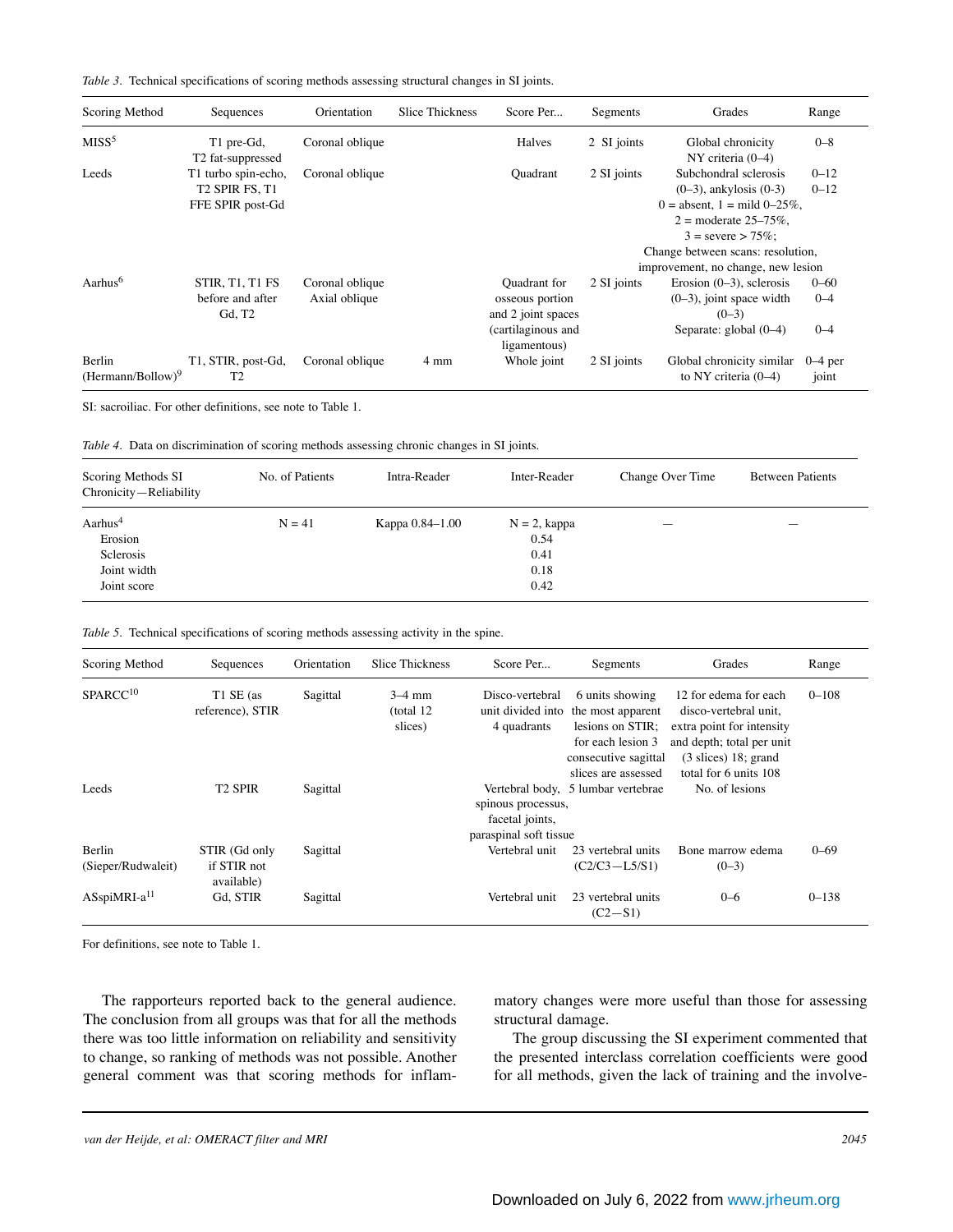|  |  | <i>Table 3.</i> Technical specifications of scoring methods assessing structural changes in SI joints. |  |  |  |  |  |  |  |  |
|--|--|--------------------------------------------------------------------------------------------------------|--|--|--|--|--|--|--|--|
|--|--|--------------------------------------------------------------------------------------------------------|--|--|--|--|--|--|--|--|

| Scoring Method                | Sequences                                            | Orientation     | <b>Slice Thickness</b> | Score Per                             | Segments    | Grades                                              | Range              |
|-------------------------------|------------------------------------------------------|-----------------|------------------------|---------------------------------------|-------------|-----------------------------------------------------|--------------------|
| MISS <sup>5</sup>             | T1 pre-Gd,                                           | Coronal oblique |                        | Halves                                | 2 SI joints | Global chronicity                                   | $0 - 8$            |
| Leeds                         | T <sub>2</sub> fat-suppressed<br>T1 turbo spin-echo, | Coronal oblique |                        |                                       |             | $NY$ criteria $(0-4)$<br>Subchondral sclerosis      | $0 - 12$           |
|                               | T <sub>2</sub> SPIR FS, T <sub>1</sub>               |                 |                        | <b>Quadrant</b>                       | 2 SI joints | $(0-3)$ , ankylosis $(0-3)$                         | $0 - 12$           |
|                               | FFE SPIR post-Gd                                     |                 |                        |                                       |             | 0 = absent, 1 = mild 0-25%,                         |                    |
|                               |                                                      |                 |                        |                                       |             | $2 =$ moderate $25 - 75\%$ .                        |                    |
|                               |                                                      |                 |                        |                                       |             | $3 =$ severe $> 75\%$ :                             |                    |
|                               |                                                      |                 |                        |                                       |             | Change between scans: resolution,                   |                    |
|                               |                                                      |                 |                        |                                       |             | improvement, no change, new lesion                  |                    |
| Aarhus <sup>6</sup>           | STIR, T1, T1 FS                                      | Coronal oblique |                        | Quadrant for                          | 2 SI joints | Erosion $(0-3)$ , sclerosis                         | $0 - 60$           |
|                               | before and after<br>Gd, T2                           | Axial oblique   |                        | osseous portion<br>and 2 joint spaces |             | $(0-3)$ , joint space width<br>$(0-3)$              | $0 - 4$            |
|                               |                                                      |                 |                        | (cartilaginous and<br>ligamentous)    |             | Separate: $global (0-4)$                            | $0 - 4$            |
| Berlin<br>$(Herman/Bollow)^9$ | T1, STIR, post-Gd,<br>T <sub>2</sub>                 | Coronal oblique | 4 mm                   | Whole joint                           | 2 SI joints | Global chronicity similar<br>to NY criteria $(0-4)$ | $0-4$ per<br>joint |

SI: sacroiliac. For other definitions, see note to Table 1.

*Table 4.* Data on discrimination of scoring methods assessing chronic changes in SI joints.

| Scoring Methods SI<br>Chronicity-Reliability                              | No. of Patients | Intra-Reader    | Inter-Reader                                    | Change Over Time         | <b>Between Patients</b> |
|---------------------------------------------------------------------------|-----------------|-----------------|-------------------------------------------------|--------------------------|-------------------------|
| Aarhus <sup>4</sup><br>Erosion<br>Sclerosis<br>Joint width<br>Joint score | $N = 41$        | Карра 0.84–1.00 | $N = 2$ , kappa<br>0.54<br>0.41<br>0.18<br>0.42 | $\overline{\phantom{a}}$ | _                       |

|  | <i>Table 5.</i> Technical specifications of scoring methods assessing activity in the spine. |  |  |  |
|--|----------------------------------------------------------------------------------------------|--|--|--|
|  |                                                                                              |  |  |  |
|  |                                                                                              |  |  |  |

| Scoring Method               | Sequences                                  | Orientation | <b>Slice Thickness</b>           | Score Per                                                       | Segments                                                                                                                     | Grades                                                                                                                                                              | Range     |
|------------------------------|--------------------------------------------|-------------|----------------------------------|-----------------------------------------------------------------|------------------------------------------------------------------------------------------------------------------------------|---------------------------------------------------------------------------------------------------------------------------------------------------------------------|-----------|
| SPARCC <sup>10</sup>         | T1 SE (as<br>reference), STIR              | Sagittal    | $3-4$ mm<br>(total 12<br>slices) | Disco-vertebral<br>unit divided into<br>4 quadrants             | 6 units showing<br>the most apparent<br>lesions on STIR;<br>for each lesion 3<br>consecutive sagittal<br>slices are assessed | 12 for edema for each<br>disco-vertebral unit.<br>extra point for intensity<br>and depth; total per unit<br>$(3 \text{ slices})$ 18; grand<br>total for 6 units 108 | $0 - 108$ |
| Leeds                        | T <sub>2</sub> SPIR                        | Sagittal    |                                  | spinous processus,<br>facetal joints,<br>paraspinal soft tissue | Vertebral body, 5 lumbar vertebrae                                                                                           | No. of lesions                                                                                                                                                      |           |
| Berlin<br>(Sieper/Rudwaleit) | STIR (Gd only<br>if STIR not<br>available) | Sagittal    |                                  | Vertebral unit                                                  | 23 vertebral units<br>$(C2/C3 - L5/S1)$                                                                                      | Bone marrow edema<br>$(0-3)$                                                                                                                                        | $0 - 69$  |
| ASspiMRI-a <sup>11</sup>     | Gd. STIR                                   | Sagittal    |                                  | Vertebral unit                                                  | 23 vertebral units<br>$(C2 - S1)$                                                                                            | $0 - 6$                                                                                                                                                             | $0 - 138$ |

For definitions, see note to Table 1.

The rapporteurs reported back to the general audience. The conclusion from all groups was that for all the methods there was too little information on reliability and sensitivity to change, so ranking of methods was not possible. Another general comment was that scoring methods for inflammatory changes were more useful than those for assessing structural damage.

The group discussing the SI experiment commented that the presented interclass correlation coefficients were good for all methods, given the lack of training and the involve-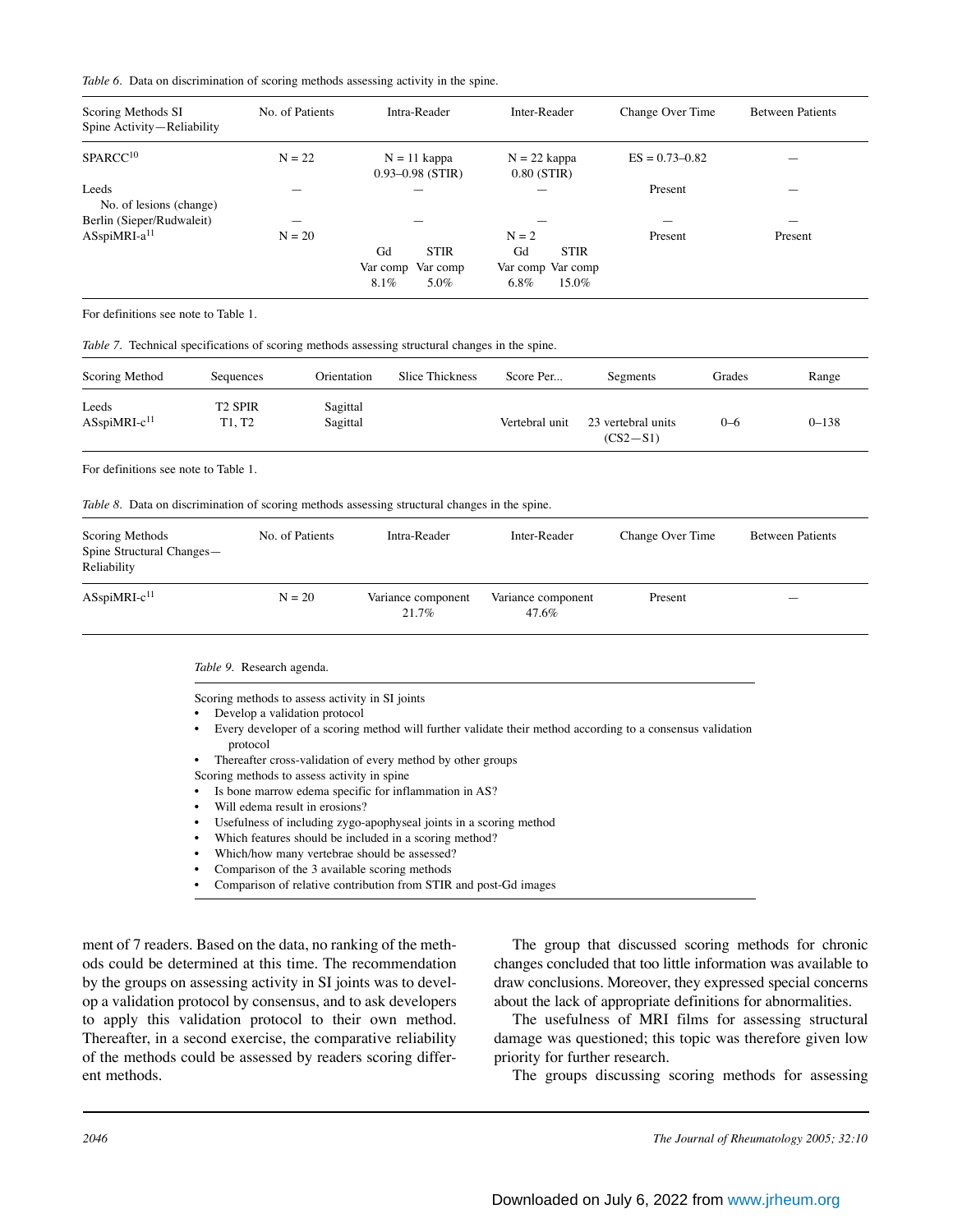| Scoring Methods SI<br>Spine Activity-Reliability | No. of Patients | Intra-Reader                           | Inter-Reader                          | Change Over Time   | <b>Between Patients</b> |
|--------------------------------------------------|-----------------|----------------------------------------|---------------------------------------|--------------------|-------------------------|
| SPARCC <sup>10</sup>                             | $N = 22$        | $N = 11$ kappa<br>$0.93 - 0.98$ (STIR) | $N = 22$ kappa<br>$0.80$ (STIR)       | $ES = 0.73 - 0.82$ |                         |
| Leeds<br>No. of lesions (change)                 |                 |                                        |                                       | Present            |                         |
| Berlin (Sieper/Rudwaleit)                        |                 |                                        |                                       |                    |                         |
| $ASspinRI-a11$                                   | $N = 20$        | Gd<br><b>STIR</b>                      | $N = 2$<br>Gd<br><b>STIR</b>          | Present            | Present                 |
|                                                  |                 | Var comp<br>Var comp<br>5.0%<br>8.1%   | Var comp Var comp<br>$6.8\%$<br>15.0% |                    |                         |

For definitions see note to Table 1.

| Scoring Method                    | Sequences                | Orientation          | Slice Thickness | Score Per      | Segments                         | Grades  | Range     |
|-----------------------------------|--------------------------|----------------------|-----------------|----------------|----------------------------------|---------|-----------|
| Leeds<br>ASspiMRI-c <sup>11</sup> | <b>T2 SPIR</b><br>T1. T2 | Sagittal<br>Sagittal |                 | Vertebral unit | 23 vertebral units<br>$(CS2-S1)$ | $0 - 6$ | $0 - 138$ |

For definitions see note to Table 1.

*Table 8.* Data on discrimination of scoring methods assessing structural changes in the spine.

| Scoring Methods<br>Spine Structural Changes-<br>Reliability | No. of Patients | Intra-Reader                | Inter-Reader                | Change Over Time | <b>Between Patients</b>  |
|-------------------------------------------------------------|-----------------|-----------------------------|-----------------------------|------------------|--------------------------|
| ASspiMRI-c <sup>11</sup>                                    | $N = 20$        | Variance component<br>21.7% | Variance component<br>47.6% | Present          | $\overline{\phantom{a}}$ |

*Table 9.* Research agenda.

Scoring methods to assess activity in SI joints

• Develop a validation protocol

- Every developer of a scoring method will further validate their method according to a consensus validation protocol
- Thereafter cross-validation of every method by other groups

Scoring methods to assess activity in spine

- Is bone marrow edema specific for inflammation in AS?
- Will edema result in erosions?
- Usefulness of including zygo-apophyseal joints in a scoring method
- Which features should be included in a scoring method?
- Which/how many vertebrae should be assessed?
- Comparison of the 3 available scoring methods
- Comparison of relative contribution from STIR and post-Gd images

ment of 7 readers. Based on the data, no ranking of the methods could be determined at this time. The recommendation by the groups on assessing activity in SI joints was to develop a validation protocol by consensus, and to ask developers to apply this validation protocol to their own method. Thereafter, in a second exercise, the comparative reliability of the methods could be assessed by readers scoring different methods.

The group that discussed scoring methods for chronic changes concluded that too little information was available to draw conclusions. Moreover, they expressed special concerns about the lack of appropriate definitions for abnormalities.

The usefulness of MRI films for assessing structural damage was questioned; this topic was therefore given low priority for further research.

The groups discussing scoring methods for assessing

*<sup>2046</sup> The Journal of Rheumatology 2005; 32:10*